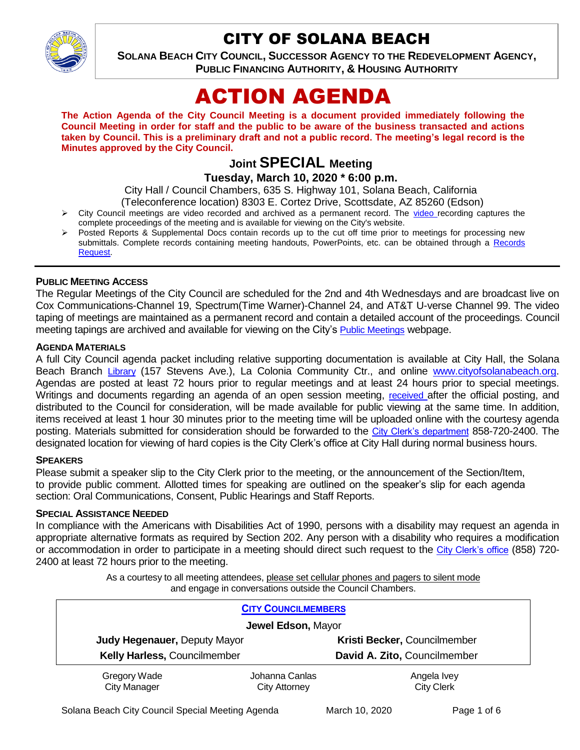

# CITY OF SOLANA BEACH

**SOLANA BEACH CITY COUNCIL, SUCCESSOR AGENCY TO THE REDEVELOPMENT AGENCY, PUBLIC FINANCING AUTHORITY, & HOUSING AUTHORITY** 

# ACTION AGENDA

**The Action Agenda of the City Council Meeting is a document provided immediately following the Council Meeting in order for staff and the public to be aware of the business transacted and actions taken by Council. This is a preliminary draft and not a public record. The meeting's legal record is the Minutes approved by the City Council.**

# **Joint SPECIAL Meeting**

**Tuesday, March 10, 2020 \* 6:00 p.m.** 

City Hall / Council Chambers, 635 S. Highway 101, Solana Beach, California

(Teleconference location) 8303 E. Cortez Drive, Scottsdate, AZ 85260 (Edson)

- $\triangleright$  City Council meetings are [video r](https://solanabeach.12milesout.com/#page=1)ecorded and archived as a permanent record. The video recording captures the complete proceedings of the meeting and is available for viewing on the City's website.
- Posted Reports & Supplemental Docs contain records up to the cut off time prior to meetings for processing new submittals. Complete records containing meeting handouts, PowerPoints, etc. can be obtained through a [Records](http://www.ci.solana-beach.ca.us/index.asp?SEC=F5D45D10-70CE-4291-A27C-7BD633FC6742&Type=B_BASIC)  [Request.](http://www.ci.solana-beach.ca.us/index.asp?SEC=F5D45D10-70CE-4291-A27C-7BD633FC6742&Type=B_BASIC)

#### **PUBLIC MEETING ACCESS**

The Regular Meetings of the City Council are scheduled for the 2nd and 4th Wednesdays and are broadcast live on Cox Communications-Channel 19, Spectrum(Time Warner)-Channel 24, and AT&T U-verse Channel 99. The video taping of meetings are maintained as a permanent record and contain a detailed account of the proceedings. Council meeting tapings are archived and available for viewing on the City's [Public Meetings](https://www.ci.solana-beach.ca.us/index.asp?SEC=F0F1200D-21C6-4A88-8AE1-0BC07C1A81A7&Type=B_BASIC) webpage.

#### **AGENDA MATERIALS**

A full City Council agenda packet including relative supporting documentation is available at City Hall, the Solana Beach Branch [Library](http://www.sdcl.org/locations_SB.html) (157 Stevens Ave.), La Colonia Community Ctr., and online [www.cityofsolanabeach.org.](http://www.cityofsolanabeach.org/) Agendas are posted at least 72 hours prior to regular meetings and at least 24 hours prior to special meetings. Writings and documents regarding an agenda of an open session meeting, [received](mailto:EMAILGRP-CityClerksOfc@cosb.org) after the official posting, and distributed to the Council for consideration, will be made available for public viewing at the same time. In addition, items received at least 1 hour 30 minutes prior to the meeting time will be uploaded online with the courtesy agenda posting. Materials submitted for consideration should be forwarded to the [City Clerk's department](mailto:EMAILGRP-CityClerksOfc@cosb.org) 858-720-2400. The designated location for viewing of hard copies is the City Clerk's office at City Hall during normal business hours.

#### **SPEAKERS**

Please submit a speaker slip to the City Clerk prior to the meeting, or the announcement of the Section/Item, to provide public comment. Allotted times for speaking are outlined on the speaker's slip for each agenda section: Oral Communications, Consent, Public Hearings and Staff Reports.

#### **SPECIAL ASSISTANCE NEEDED**

In compliance with the Americans with Disabilities Act of 1990, persons with a disability may request an agenda in appropriate alternative formats as required by Section 202. Any person with a disability who requires a modification or accommodation in order to participate in a meeting should direct such request to the [City Clerk's office](mailto:clerkadmin@cosb.org?subject=City%20Clerk%20Notice%20of%20Special%20Services%20Needed) (858) 720- 2400 at least 72 hours prior to the meeting.

> As a courtesy to all meeting attendees, please set cellular phones and pagers to silent mode and engage in conversations outside the Council Chambers.

| <b>CITY COUNCILMEMBERS</b>          |                                        |                                  |
|-------------------------------------|----------------------------------------|----------------------------------|
| Jewel Edson, Mayor                  |                                        |                                  |
| <b>Judy Hegenauer, Deputy Mayor</b> |                                        | Kristi Becker, Councilmember     |
| Kelly Harless, Councilmember        |                                        | David A. Zito, Councilmember     |
| Gregory Wade<br><b>City Manager</b> | Johanna Canlas<br><b>City Attorney</b> | Angela Ivey<br><b>City Clerk</b> |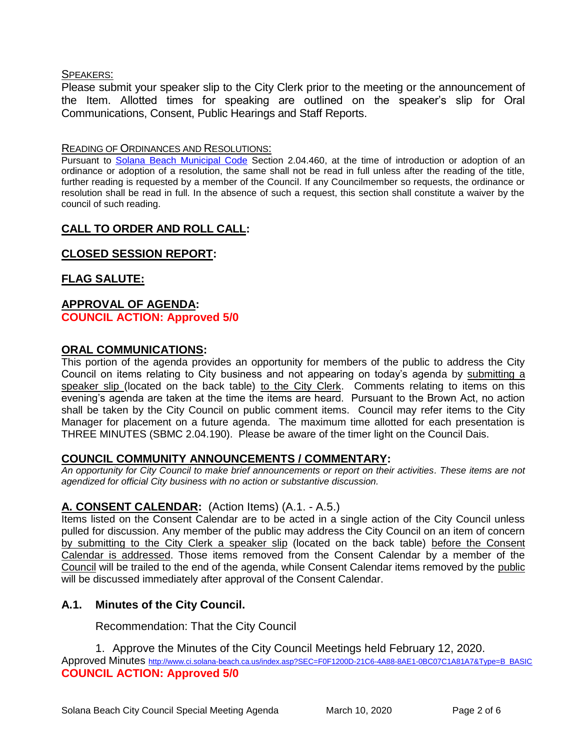#### SPEAKERS:

Please submit your speaker slip to the City Clerk prior to the meeting or the announcement of the Item. Allotted times for speaking are outlined on the speaker's slip for Oral Communications, Consent, Public Hearings and Staff Reports.

#### READING OF ORDINANCES AND RESOLUTIONS:

Pursuant to [Solana Beach Municipal Code](mailto:https://www.codepublishing.com/CA/SolanaBeach/) Section 2.04.460, at the time of introduction or adoption of an ordinance or adoption of a resolution, the same shall not be read in full unless after the reading of the title, further reading is requested by a member of the Council. If any Councilmember so requests, the ordinance or resolution shall be read in full. In the absence of such a request, this section shall constitute a waiver by the council of such reading.

# **CALL TO ORDER AND ROLL CALL:**

# **CLOSED SESSION REPORT:**

### **FLAG SALUTE:**

#### **APPROVAL OF AGENDA: COUNCIL ACTION: Approved 5/0**

#### **ORAL COMMUNICATIONS:**

This portion of the agenda provides an opportunity for members of the public to address the City Council on items relating to City business and not appearing on today's agenda by submitting a speaker slip (located on the back table) to the City Clerk. Comments relating to items on this evening's agenda are taken at the time the items are heard. Pursuant to the Brown Act, no action shall be taken by the City Council on public comment items. Council may refer items to the City Manager for placement on a future agenda. The maximum time allotted for each presentation is THREE MINUTES (SBMC 2.04.190). Please be aware of the timer light on the Council Dais.

#### **COUNCIL COMMUNITY ANNOUNCEMENTS / COMMENTARY:**

*An opportunity for City Council to make brief announcements or report on their activities. These items are not agendized for official City business with no action or substantive discussion.* 

#### **A. CONSENT CALENDAR:** (Action Items) (A.1. - A.5.)

Items listed on the Consent Calendar are to be acted in a single action of the City Council unless pulled for discussion. Any member of the public may address the City Council on an item of concern by submitting to the City Clerk a speaker slip (located on the back table) before the Consent Calendar is addressed. Those items removed from the Consent Calendar by a member of the Council will be trailed to the end of the agenda, while Consent Calendar items removed by the public will be discussed immediately after approval of the Consent Calendar.

#### **A.1. Minutes of the City Council.**

#### Recommendation: That the City Council

1. Approve the Minutes of the City Council Meetings held February 12, 2020.

Approved Minutes http://www.ci.solana-beach.ca.us/index.asp?SEC=F0F1200D-21C6-4A88-8AE1-0BC07C1A81A7&Tvpe=B\_BASIC **COUNCIL ACTION: Approved 5/0**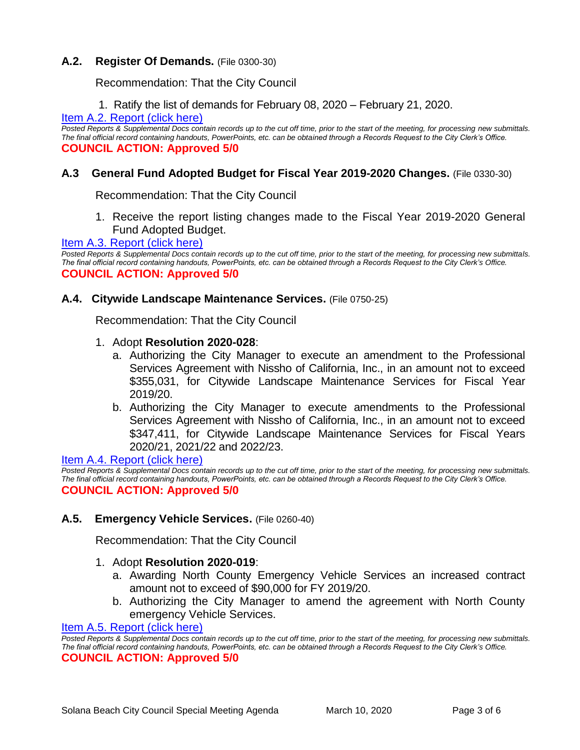#### **A.2. Register Of Demands.** (File 0300-30)

Recommendation: That the City Council

1. Ratify the list of demands for February 08, 2020 – February 21, 2020.

#### [Item A.2. Report \(click here\)](https://solanabeach.govoffice3.com/vertical/Sites/%7B840804C2-F869-4904-9AE3-720581350CE7%7D/uploads/Item_A.2._(click_here)_03.10.20-O.pdf)

*Posted Reports & Supplemental Docs contain records up to the cut off time, prior to the start of the meeting, for processing new submittals. The final official record containing handouts, PowerPoints, etc. can be obtained through a Records Request to the City Clerk's Office.* **COUNCIL ACTION: Approved 5/0**

#### **A.3 General Fund Adopted Budget for Fiscal Year 2019-2020 Changes.** (File 0330-30)

Recommendation: That the City Council

1. Receive the report listing changes made to the Fiscal Year 2019-2020 General Fund Adopted Budget.

#### [Item A.3. Report \(click here\)](https://solanabeach.govoffice3.com/vertical/Sites/%7B840804C2-F869-4904-9AE3-720581350CE7%7D/uploads/Item_A.3._(click_here)_03.10.20-O.pdf)

*Posted Reports & Supplemental Docs contain records up to the cut off time, prior to the start of the meeting, for processing new submittals. The final official record containing handouts, PowerPoints, etc. can be obtained through a Records Request to the City Clerk's Office.* **COUNCIL ACTION: Approved 5/0**

#### **A.4. Citywide Landscape Maintenance Services.** (File 0750-25)

Recommendation: That the City Council

- 1. Adopt **Resolution 2020-028**:
	- a. Authorizing the City Manager to execute an amendment to the Professional Services Agreement with Nissho of California, Inc., in an amount not to exceed \$355,031, for Citywide Landscape Maintenance Services for Fiscal Year 2019/20.
	- b. Authorizing the City Manager to execute amendments to the Professional Services Agreement with Nissho of California, Inc., in an amount not to exceed \$347,411, for Citywide Landscape Maintenance Services for Fiscal Years 2020/21, 2021/22 and 2022/23.

[Item A.4. Report \(click here\)](https://solanabeach.govoffice3.com/vertical/Sites/%7B840804C2-F869-4904-9AE3-720581350CE7%7D/uploads/Item_A.4.(click_here)_03.10.20-O.pdf) 

Posted Reports & Supplemental Docs contain records up to the cut off time, prior to the start of the meeting, for processing new submittals. *The final official record containing handouts, PowerPoints, etc. can be obtained through a Records Request to the City Clerk's Office.* **COUNCIL ACTION: Approved 5/0**

#### **A.5. Emergency Vehicle Services.** (File 0260-40)

Recommendation: That the City Council

#### 1. Adopt **Resolution 2020-019**:

- a. Awarding North County Emergency Vehicle Services an increased contract amount not to exceed of \$90,000 for FY 2019/20.
- b. Authorizing the City Manager to amend the agreement with North County emergency Vehicle Services.

#### [Item A.5. Report \(click here\)](https://solanabeach.govoffice3.com/vertical/Sites/%7B840804C2-F869-4904-9AE3-720581350CE7%7D/uploads/Item_A.5.(click_here)_03.10.20-O.pdf)

*Posted Reports & Supplemental Docs contain records up to the cut off time, prior to the start of the meeting, for processing new submittals. The final official record containing handouts, PowerPoints, etc. can be obtained through a Records Request to the City Clerk's Office.* **COUNCIL ACTION: Approved 5/0**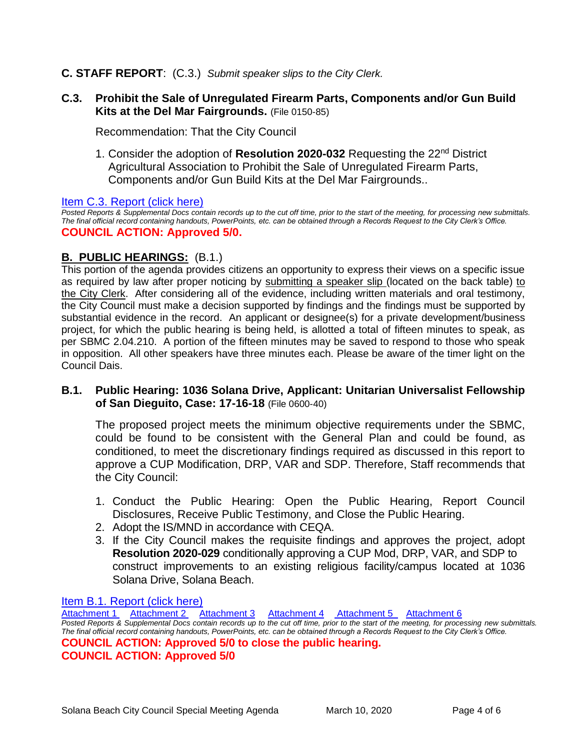#### **C. STAFF REPORT**: (C.3.) *Submit speaker slips to the City Clerk.*

#### **C.3. Prohibit the Sale of Unregulated Firearm Parts, Components and/or Gun Build Kits at the Del Mar Fairgrounds.** (File 0150-85)

Recommendation: That the City Council

1. Consider the adoption of **Resolution 2020-032** Requesting the 22nd District Agricultural Association to Prohibit the Sale of Unregulated Firearm Parts, Components and/or Gun Build Kits at the Del Mar Fairgrounds..

#### [Item C.3. Report \(click here\)](https://solanabeach.govoffice3.com/vertical/Sites/%7B840804C2-F869-4904-9AE3-720581350CE7%7D/uploads/Item_C.3.(click_here)_03.10.20-O.pdf)

*Posted Reports & Supplemental Docs contain records up to the cut off time, prior to the start of the meeting, for processing new submittals. The final official record containing handouts, PowerPoints, etc. can be obtained through a Records Request to the City Clerk's Office.* **COUNCIL ACTION: Approved 5/0.** 

#### **B. PUBLIC HEARINGS:** (B.1.)

This portion of the agenda provides citizens an opportunity to express their views on a specific issue as required by law after proper noticing by submitting a speaker slip (located on the back table) to the City Clerk. After considering all of the evidence, including written materials and oral testimony, the City Council must make a decision supported by findings and the findings must be supported by substantial evidence in the record. An applicant or designee(s) for a private development/business project, for which the public hearing is being held, is allotted a total of fifteen minutes to speak, as per SBMC 2.04.210. A portion of the fifteen minutes may be saved to respond to those who speak in opposition. All other speakers have three minutes each. Please be aware of the timer light on the Council Dais.

#### **B.1. Public Hearing: 1036 Solana Drive, Applicant: Unitarian Universalist Fellowship of San Dieguito, Case: 17-16-18** (File 0600-40)

The proposed project meets the minimum objective requirements under the SBMC, could be found to be consistent with the General Plan and could be found, as conditioned, to meet the discretionary findings required as discussed in this report to approve a CUP Modification, DRP, VAR and SDP. Therefore, Staff recommends that the City Council:

- 1. Conduct the Public Hearing: Open the Public Hearing, Report Council Disclosures, Receive Public Testimony, and Close the Public Hearing.
- 2. Adopt the IS/MND in accordance with CEQA.
- 3. If the City Council makes the requisite findings and approves the project, adopt **Resolution 2020-029** conditionally approving a CUP Mod, DRP, VAR, and SDP to construct improvements to an existing religious facility/campus located at 1036 Solana Drive, Solana Beach.

[Item B.1. Report \(click here\)](https://solanabeach.govoffice3.com/vertical/Sites/%7B840804C2-F869-4904-9AE3-720581350CE7%7D/uploads/Item_B.1._(click_here)_03.10.20.PDF)

[Attachment 1](https://solanabeach.govoffice3.com/vertical/Sites/%7B840804C2-F869-4904-9AE3-720581350CE7%7D/uploads/Item_B.1._ATTCH_1_-_Reso2020-029_-O.pdf) [Attachment 2](https://solanabeach.govoffice3.com/vertical/Sites/%7B840804C2-F869-4904-9AE3-720581350CE7%7D/uploads/Attachment_2_17-18-16_(UUFSD)_Final_Project_Plans_03.04.2020.pdf) [Attachment 3](https://solanabeach.govoffice3.com/vertical/Sites/%7B840804C2-F869-4904-9AE3-720581350CE7%7D/uploads/Item_B.1._ATTCH_3_Variance_-O_.pdf) [Attachment 4](https://solanabeach.govoffice3.com/vertical/Sites/%7B840804C2-F869-4904-9AE3-720581350CE7%7D/uploads/Item_B.1._ATTCH_4_ISMND_-O.pdf) [Attachment 5](https://solanabeach.govoffice3.com/vertical/Sites/%7B840804C2-F869-4904-9AE3-720581350CE7%7D/uploads/Item_B.1._ATTCH_5_ISMND_Appendices_-O.pdf) [Attachment 6](https://solanabeach.govoffice3.com/vertical/Sites/%7B840804C2-F869-4904-9AE3-720581350CE7%7D/uploads/Item_B.1._ATTCH_6_-_NOI_-O.pdf) *Posted Reports & Supplemental Docs contain records up to the cut off time, prior to the start of the meeting, for processing new submittals. The final official record containing handouts, PowerPoints, etc. can be obtained through a Records Request to the City Clerk's Office.* **COUNCIL ACTION: Approved 5/0 to close the public hearing. COUNCIL ACTION: Approved 5/0**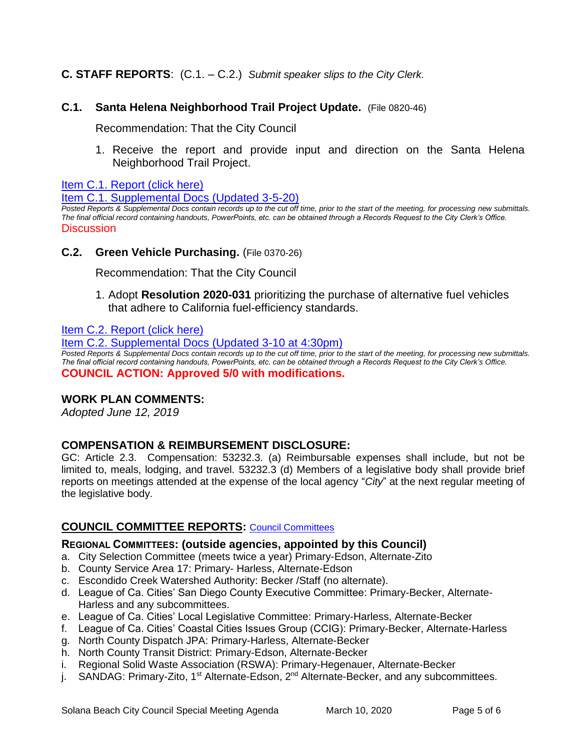# **C. STAFF REPORTS**: (C.1. – C.2.) *Submit speaker slips to the City Clerk.*

#### **C.1. Santa Helena Neighborhood Trail Project Update.** (File 0820-46)

Recommendation: That the City Council

1. Receive the report and provide input and direction on the Santa Helena Neighborhood Trail Project.

[Item C.1. Report \(click here\)](https://solanabeach.govoffice3.com/vertical/Sites/%7B840804C2-F869-4904-9AE3-720581350CE7%7D/uploads/Item_C.1._(click_here)_03.10.20-O.pdf) 

[Item C.1. Supplemental Docs \(Updated 3-5-20\)](https://solanabeach.govoffice3.com/vertical/Sites/%7B840804C2-F869-4904-9AE3-720581350CE7%7D/uploads/Item_C.1._Supplemental_Docs_(upd._3-5)_-_O.pdf)

*Posted Reports & Supplemental Docs contain records up to the cut off time, prior to the start of the meeting, for processing new submittals. The final official record containing handouts, PowerPoints, etc. can be obtained through a Records Request to the City Clerk's Office.* **Discussion** 

#### **C.2. Green Vehicle Purchasing.** (File 0370-26)

Recommendation: That the City Council

1. Adopt **Resolution 2020-031** prioritizing the purchase of alternative fuel vehicles that adhere to California fuel-efficiency standards.

[Item C.2. Report \(click here\)](https://solanabeach.govoffice3.com/vertical/Sites/%7B840804C2-F869-4904-9AE3-720581350CE7%7D/uploads/Item_C.2.(click_here)_03.10.20-O.pdf) 

[Item C.2. Supplemental Docs \(Updated 3-10 at 4:30pm\)](https://solanabeach.govoffice3.com/vertical/Sites/%7B840804C2-F869-4904-9AE3-720581350CE7%7D/uploads/C.2._Supplemental_Docs_(Updated_3-10_at_430pm).pdf)

*Posted Reports & Supplemental Docs contain records up to the cut off time, prior to the start of the meeting, for processing new submittals. The final official record containing handouts, PowerPoints, etc. can be obtained through a Records Request to the City Clerk's Office.* **COUNCIL ACTION: Approved 5/0 with modifications.** 

#### **WORK PLAN COMMENTS:**

*Adopted June 12, 2019*

#### **COMPENSATION & REIMBURSEMENT DISCLOSURE:**

GC: Article 2.3. Compensation: 53232.3. (a) Reimbursable expenses shall include, but not be limited to, meals, lodging, and travel. 53232.3 (d) Members of a legislative body shall provide brief reports on meetings attended at the expense of the local agency "*City*" at the next regular meeting of the legislative body.

#### **COUNCIL COMMITTEE REPORTS:** [Council Committees](https://www.ci.solana-beach.ca.us/index.asp?SEC=584E1192-3850-46EA-B977-088AC3E81E0D&Type=B_BASIC)

#### **REGIONAL COMMITTEES: (outside agencies, appointed by this Council)**

a. City Selection Committee (meets twice a year) Primary-Edson, Alternate-Zito

- b. County Service Area 17: Primary- Harless, Alternate-Edson
- c. Escondido Creek Watershed Authority: Becker /Staff (no alternate).
- d. League of Ca. Cities' San Diego County Executive Committee: Primary-Becker, Alternate-Harless and any subcommittees.
- e. League of Ca. Cities' Local Legislative Committee: Primary-Harless, Alternate-Becker
- f. League of Ca. Cities' Coastal Cities Issues Group (CCIG): Primary-Becker, Alternate-Harless
- g. North County Dispatch JPA: Primary-Harless, Alternate-Becker
- h. North County Transit District: Primary-Edson, Alternate-Becker
- i. Regional Solid Waste Association (RSWA): Primary-Hegenauer, Alternate-Becker
- j. SANDAG: Primary-Zito, 1<sup>st</sup> Alternate-Edson, 2<sup>nd</sup> Alternate-Becker, and any subcommittees.